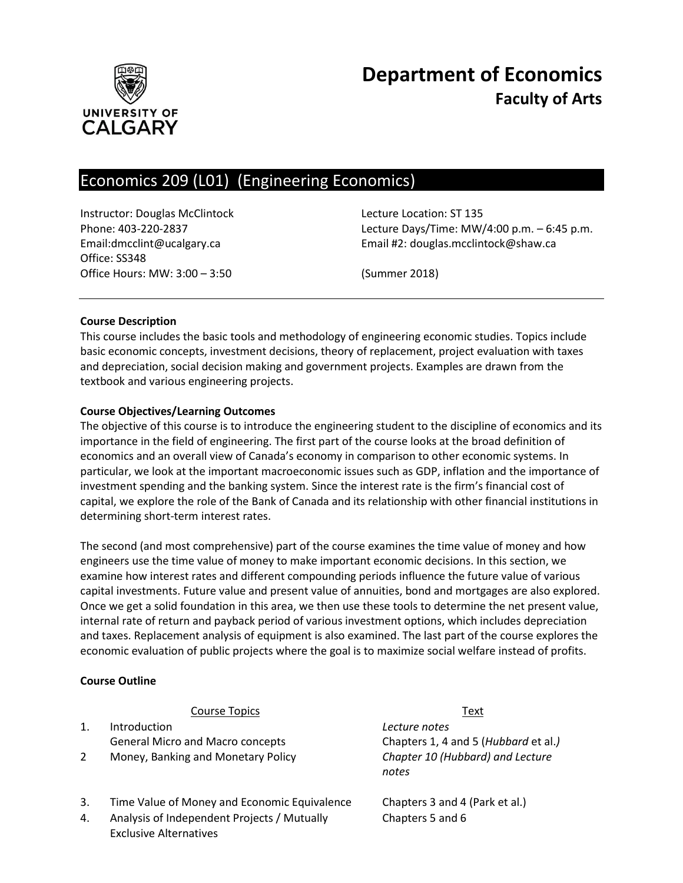

# **Department of Economics Faculty of Arts**

# Economics 209 (L01) (Engineering Economics)

Instructor: Douglas McClintock Lecture Location: ST 135 Office: SS348 Office Hours: MW: 3:00 – 3:50 (Summer 2018)

Phone: 403-220-2837 Lecture Days/Time: MW/4:00 p.m. – 6:45 p.m. Email:dmcclint@ucalgary.ca Email #2: douglas.mcclintock@shaw.ca

# **Course Description**

This course includes the basic tools and methodology of engineering economic studies. Topics include basic economic concepts, investment decisions, theory of replacement, project evaluation with taxes and depreciation, social decision making and government projects. Examples are drawn from the textbook and various engineering projects.

# **Course Objectives/Learning Outcomes**

The objective of this course is to introduce the engineering student to the discipline of economics and its importance in the field of engineering. The first part of the course looks at the broad definition of economics and an overall view of Canada's economy in comparison to other economic systems. In particular, we look at the important macroeconomic issues such as GDP, inflation and the importance of investment spending and the banking system. Since the interest rate is the firm's financial cost of capital, we explore the role of the Bank of Canada and its relationship with other financial institutions in determining short-term interest rates.

The second (and most comprehensive) part of the course examines the time value of money and how engineers use the time value of money to make important economic decisions. In this section, we examine how interest rates and different compounding periods influence the future value of various capital investments. Future value and present value of annuities, bond and mortgages are also explored. Once we get a solid foundation in this area, we then use these tools to determine the net present value, internal rate of return and payback period of various investment options, which includes depreciation and taxes. Replacement analysis of equipment is also examined. The last part of the course explores the economic evaluation of public projects where the goal is to maximize social welfare instead of profits.

#### **Course Outline**

#### **Course Topics Text**

- 1. Introduction General Micro and Macro concepts
- 2 Money, Banking and Monetary Policy
- 3. Time Value of Money and Economic Equivalence Chapters 3 and 4 (Park et al.)
- 4. Analysis of Independent Projects / Mutually Exclusive Alternatives

*Lecture notes* Chapters 1, 4 and 5 (*Hubbard* et al.*) Chapter 10 (Hubbard) and Lecture notes*

Chapters 5 and 6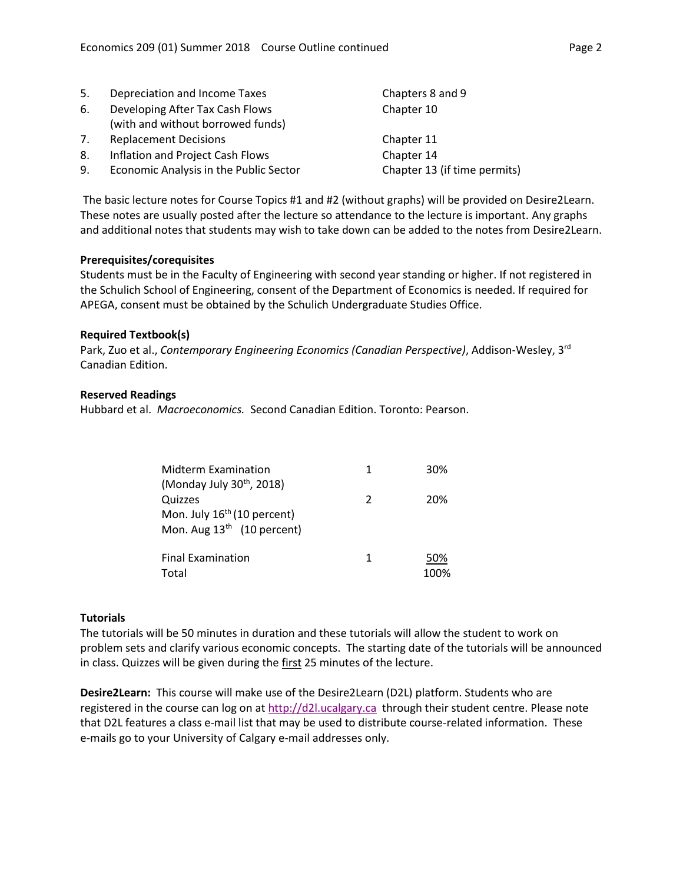| 5. | Depreciation and Income Taxes          | Chapters 8 and 9             |
|----|----------------------------------------|------------------------------|
| 6. | Developing After Tax Cash Flows        | Chapter 10                   |
|    | (with and without borrowed funds)      |                              |
| 7. | <b>Replacement Decisions</b>           | Chapter 11                   |
| 8. | Inflation and Project Cash Flows       | Chapter 14                   |
| 9. | Economic Analysis in the Public Sector | Chapter 13 (if time permits) |

The basic lecture notes for Course Topics #1 and #2 (without graphs) will be provided on Desire2Learn. These notes are usually posted after the lecture so attendance to the lecture is important. Any graphs and additional notes that students may wish to take down can be added to the notes from Desire2Learn.

#### **Prerequisites/corequisites**

Students must be in the Faculty of Engineering with second year standing or higher. If not registered in the Schulich School of Engineering, consent of the Department of Economics is needed. If required for APEGA, consent must be obtained by the Schulich Undergraduate Studies Office.

# **Required Textbook(s)**

Park, Zuo et al., *Contemporary Engineering Economics (Canadian Perspective)*, Addison-Wesley, 3rd Canadian Edition.

# **Reserved Readings**

Hubbard et al. *Macroeconomics.* Second Canadian Edition. Toronto: Pearson.

| <b>Midterm Examination</b>              | 1             | 30%  |
|-----------------------------------------|---------------|------|
| (Monday July $30^{th}$ , 2018)          |               |      |
| Quizzes                                 | $\mathcal{P}$ | 20%  |
| Mon. July 16 <sup>th</sup> (10 percent) |               |      |
| Mon. Aug $13th$ (10 percent)            |               |      |
|                                         |               |      |
| <b>Final Examination</b>                | 1             | 50%  |
| Total                                   |               | 100% |

#### **Tutorials**

The tutorials will be 50 minutes in duration and these tutorials will allow the student to work on problem sets and clarify various economic concepts. The starting date of the tutorials will be announced in class. Quizzes will be given during the first 25 minutes of the lecture.

**Desire2Learn:** This course will make use of the Desire2Learn (D2L) platform. Students who are registered in the course can log on at [http://d2l.ucalgary.ca](http://d2l.ucalgary.ca/) through their student centre. Please note that D2L features a class e-mail list that may be used to distribute course-related information. These e-mails go to your University of Calgary e-mail addresses only.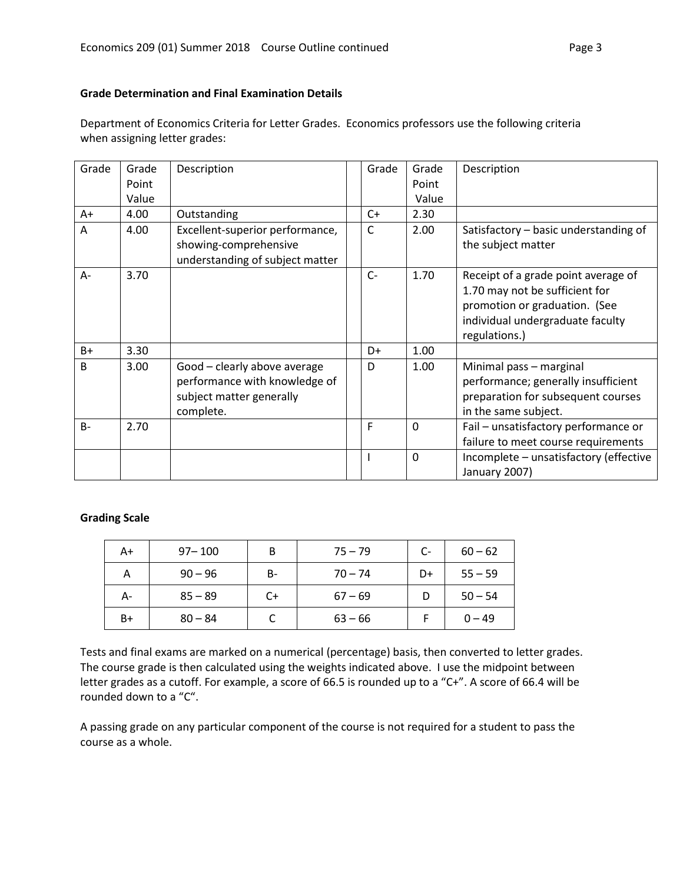# **Grade Determination and Final Examination Details**

Department of Economics Criteria for Letter Grades. Economics professors use the following criteria when assigning letter grades:

| Grade        | Grade | Description                                                                                            | Grade | Grade       | Description                                                                                                                                                 |
|--------------|-------|--------------------------------------------------------------------------------------------------------|-------|-------------|-------------------------------------------------------------------------------------------------------------------------------------------------------------|
|              | Point |                                                                                                        |       | Point       |                                                                                                                                                             |
|              | Value |                                                                                                        |       | Value       |                                                                                                                                                             |
| A+           | 4.00  | Outstanding                                                                                            | $C+$  | 2.30        |                                                                                                                                                             |
| A            | 4.00  | Excellent-superior performance,<br>showing-comprehensive                                               | C     | 2.00        | Satisfactory – basic understanding of<br>the subject matter                                                                                                 |
|              |       | understanding of subject matter                                                                        |       |             |                                                                                                                                                             |
| A-           | 3.70  |                                                                                                        | $C-$  | 1.70        | Receipt of a grade point average of<br>1.70 may not be sufficient for<br>promotion or graduation. (See<br>individual undergraduate faculty<br>regulations.) |
| $B+$         | 3.30  |                                                                                                        | D+    | 1.00        |                                                                                                                                                             |
| <sub>B</sub> | 3.00  | Good - clearly above average<br>performance with knowledge of<br>subject matter generally<br>complete. | D     | 1.00        | Minimal pass - marginal<br>performance; generally insufficient<br>preparation for subsequent courses<br>in the same subject.                                |
| $B -$        | 2.70  |                                                                                                        | F     | $\Omega$    | Fail - unsatisfactory performance or<br>failure to meet course requirements                                                                                 |
|              |       |                                                                                                        |       | $\mathbf 0$ | Incomplete - unsatisfactory (effective<br>January 2007)                                                                                                     |

#### **Grading Scale**

| A+ | $97 - 100$ | B         | $75 - 79$ | $C-$ | $60 - 62$ |
|----|------------|-----------|-----------|------|-----------|
| А  | $90 - 96$  | <b>B-</b> | $70 - 74$ | D+   | $55 - 59$ |
| А- | $85 - 89$  | $C+$      | $67 - 69$ |      | $50 - 54$ |
| B+ | $80 - 84$  |           | $63 - 66$ |      | $0 - 49$  |

Tests and final exams are marked on a numerical (percentage) basis, then converted to letter grades. The course grade is then calculated using the weights indicated above. I use the midpoint between letter grades as a cutoff. For example, a score of 66.5 is rounded up to a "C+". A score of 66.4 will be rounded down to a "C".

A passing grade on any particular component of the course is not required for a student to pass the course as a whole.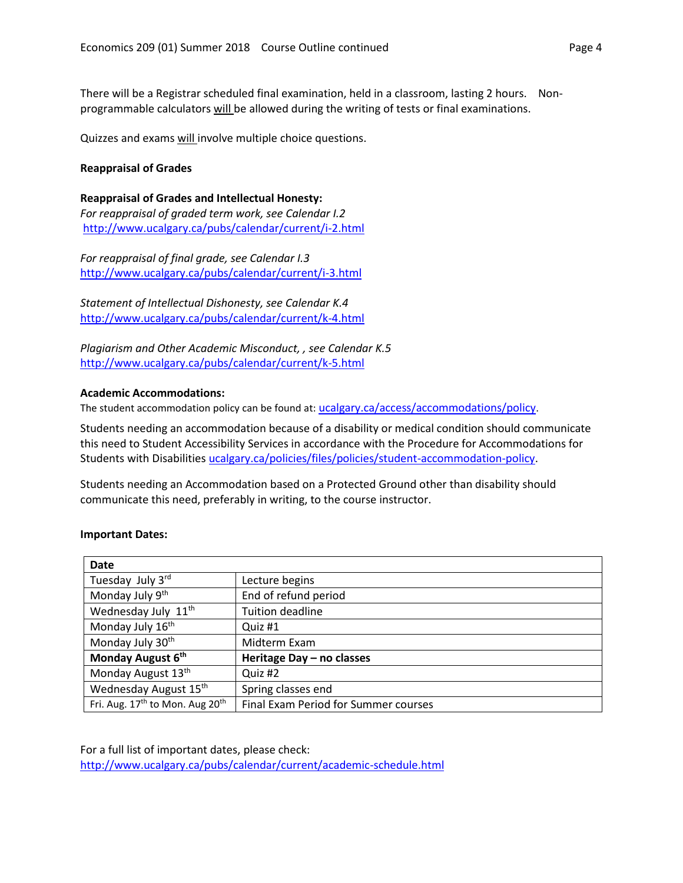There will be a Registrar scheduled final examination, held in a classroom, lasting 2 hours. Nonprogrammable calculators will be allowed during the writing of tests or final examinations.

Quizzes and exams will involve multiple choice questions.

#### **Reappraisal of Grades**

**Reappraisal of Grades and Intellectual Honesty:** *For reappraisal of graded term work, see Calendar I.2* <http://www.ucalgary.ca/pubs/calendar/current/i-2.html>

*For reappraisal of final grade, see Calendar I.3* <http://www.ucalgary.ca/pubs/calendar/current/i-3.html>

*Statement of Intellectual Dishonesty, see Calendar K.4* <http://www.ucalgary.ca/pubs/calendar/current/k-4.html>

*Plagiarism and Other Academic Misconduct, , see Calendar K.5* <http://www.ucalgary.ca/pubs/calendar/current/k-5.html>

#### **Academic Accommodations:**

The student accommodation policy can be found at: [ucalgary.ca/access/accommodations/policy](http://www.ucalgary.ca/access/accommodations/policy).

Students needing an accommodation because of a disability or medical condition should communicate this need to Student Accessibility Services in accordance with the Procedure for Accommodations for Students with Disabilities [ucalgary.ca/policies/files/policies/student-accommodation-policy.](http://www.ucalgary.ca/policies/files/policies/student-accommodation-policy.pdf)

Students needing an Accommodation based on a Protected Ground other than disability should communicate this need, preferably in writing, to the course instructor.

#### **Important Dates:**

| Date                                                    |                                      |  |
|---------------------------------------------------------|--------------------------------------|--|
| Tuesday July 3rd                                        | Lecture begins                       |  |
| Monday July 9th                                         | End of refund period                 |  |
| Wednesday July 11 <sup>th</sup>                         | <b>Tuition deadline</b>              |  |
| Monday July 16 <sup>th</sup>                            | Quiz #1                              |  |
| Monday July 30 <sup>th</sup>                            | Midterm Exam                         |  |
| Monday August 6th                                       | Heritage Day - no classes            |  |
| Monday August 13th                                      | Quiz #2                              |  |
| Wednesday August 15th                                   | Spring classes end                   |  |
| Fri. Aug. 17 <sup>th</sup> to Mon. Aug 20 <sup>th</sup> | Final Exam Period for Summer courses |  |

For a full list of important dates, please check: <http://www.ucalgary.ca/pubs/calendar/current/academic-schedule.html>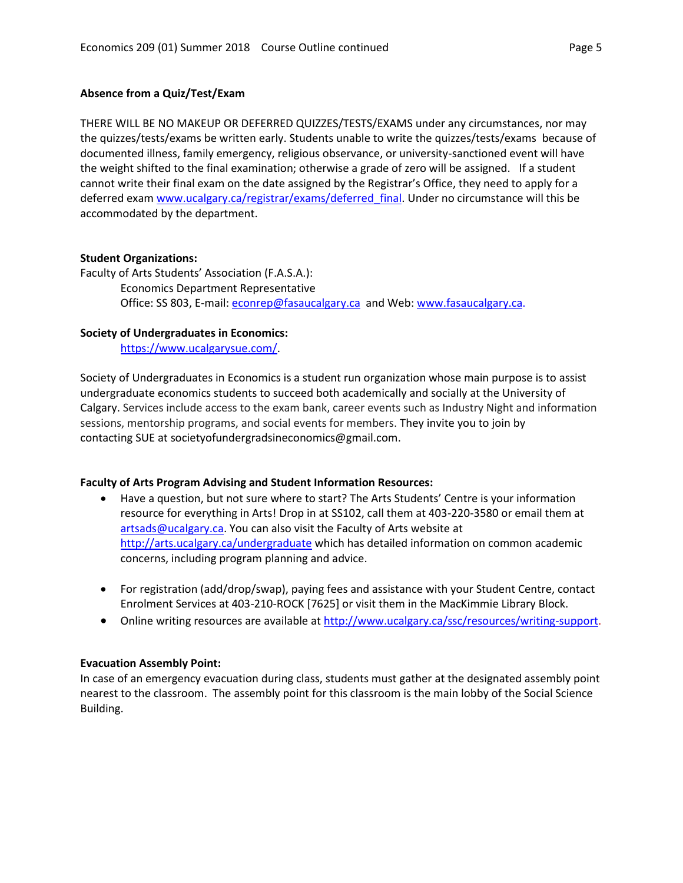#### **Absence from a Quiz/Test/Exam**

THERE WILL BE NO MAKEUP OR DEFERRED QUIZZES/TESTS/EXAMS under any circumstances, nor may the quizzes/tests/exams be written early. Students unable to write the quizzes/tests/exams because of documented illness, family emergency, religious observance, or university-sanctioned event will have the weight shifted to the final examination; otherwise a grade of zero will be assigned. If a student cannot write their final exam on the date assigned by the Registrar's Office, they need to apply for a deferred exam [www.ucalgary.ca/registrar/exams/deferred\\_final.](http://www.ucalgary.ca/registrar/exams/deferred_final) Under no circumstance will this be accommodated by the department.

#### **Student Organizations:**

Faculty of Arts Students' Association (F.A.S.A.): Economics Department Representative Office: SS 803, E-mail: [econrep@fasaucalgary.ca](mailto:econrep@fasaucalgary.ca) and Web[: www.fasaucalgary.ca.](http://www.fasaucalgary.ca/)

#### **Society of Undergraduates in Economics:**

[https://www.ucalgarysue.com/.](https://www.ucalgarysue.com/)

Society of Undergraduates in Economics is a student run organization whose main purpose is to assist undergraduate economics students to succeed both academically and socially at the University of Calgary. Services include access to the exam bank, career events such as Industry Night and information sessions, mentorship programs, and social events for members. They invite you to join by contacting SUE at societyofundergradsineconomics@gmail.com.

#### **Faculty of Arts Program Advising and Student Information Resources:**

- Have a question, but not sure where to start? The Arts Students' Centre is your information resource for everything in Arts! Drop in at SS102, call them at 403-220-3580 or email them at [artsads@ucalgary.ca.](mailto:artsads@ucalgary.ca) You can also visit the Faculty of Arts website at <http://arts.ucalgary.ca/undergraduate> which has detailed information on common academic concerns, including program planning and advice.
- For registration (add/drop/swap), paying fees and assistance with your Student Centre, contact Enrolment Services at 403-210-ROCK [7625] or visit them in the MacKimmie Library Block.
- Online writing resources are available at [http://www.ucalgary.ca/ssc/resources/writing-support.](http://www.ucalgary.ca/ssc/resources/writing-support)

#### **Evacuation Assembly Point:**

In case of an emergency evacuation during class, students must gather at the designated assembly point nearest to the classroom. The assembly point for this classroom is the main lobby of the Social Science Building.